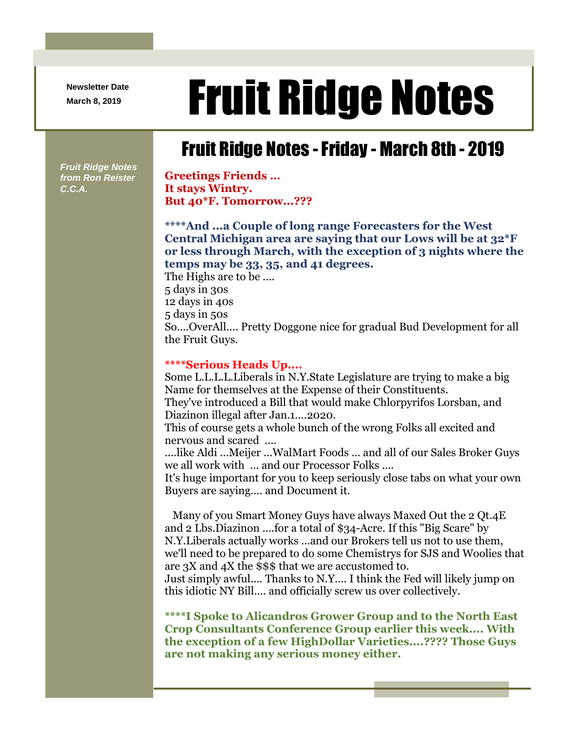**Newsletter Date**

## Newsletter Date **Fruit Ridge Notes**

## Fruit Ridge Notes -Friday - March 8th - 2019

*Fruit Ridge Notes from Ron Reister C.C.A.*

**Greetings Friends … It stays Wintry. But 40\*F. Tomorrow...???**

**\*\*\*\*And ...a Couple of long range Forecasters for the West Central Michigan area are saying that our Lows will be at 32\*F or less through March, with the exception of 3 nights where the temps may be 33, 35, and 41 degrees.**

The Highs are to be .... 5 days in 30s 12 days in 40s 5 days in 50s So....OverAll.... Pretty Doggone nice for gradual Bud Development for all the Fruit Guys.

## **\*\*\*\*Serious Heads Up....**

Some L.L.L.L.Liberals in N.Y.State Legislature are trying to make a big Name for themselves at the Expense of their Constituents. They've introduced a Bill that would make Chlorpyrifos Lorsban, and Diazinon illegal after Jan.1....2020.

This of course gets a whole bunch of the wrong Folks all excited and nervous and scared ....

....like Aldi ...Meijer ...WalMart Foods ... and all of our Sales Broker Guys we all work with ... and our Processor Folks ....

It's huge important for you to keep seriously close tabs on what your own Buyers are saying.... and Document it.

Many of you Smart Money Guys have always Maxed Out the 2 Qt.4E and 2 Lbs.Diazinon ....for a total of \$34-Acre. If this "Big Scare" by N.Y.Liberals actually works ...and our Brokers tell us not to use them, we'll need to be prepared to do some Chemistrys for SJS and Woolies that are 3X and 4X the \$\$\$ that we are accustomed to.

Just simply awful.... Thanks to N.Y.... I think the Fed will likely jump on this idiotic NY Bill.... and officially screw us over collectively.

**\*\*\*\*I Spoke to Alicandros Grower Group and to the North East Crop Consultants Conference Group earlier this week.... With the exception of a few HighDollar Varieties....???? Those Guys are not making any serious money either.**